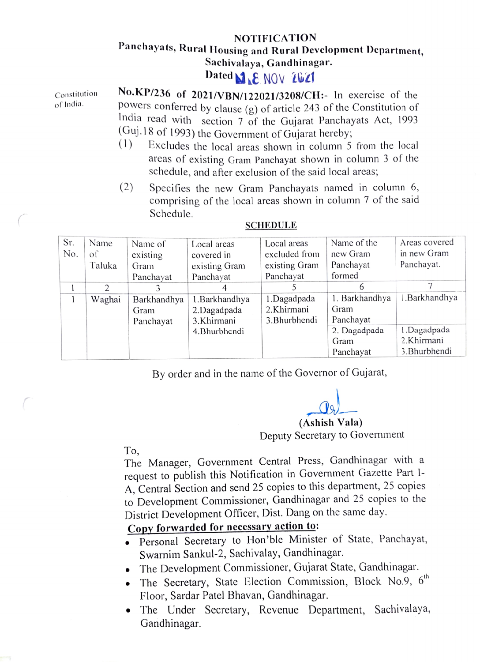## **NOTIFICATION** Panchayats, Rural Housing and Rural Development Department, Sachivalaya, Gandhinagar.

## Dated **MALE** NOV 2021

Constitution No.KP/236 of 2021/VBN/122021/3208/CH:- In exercise of the of India. powers conferred by clause (g) of article 243 of the Constitution of India read with section 7 of the Gujarat Panchayats Act, 1993 (Guj.18 of 1993) the Government of Gujarat hereby,

- $(1)$  Excludes the local areas shown in column 5 from the local arcas of existing Gram Panchayat shown in column 3 of the schedule, and after exclusion of the said local areas;
- (2) Specifies the new Gram Panchayats named in column 6, Comprising of the local areas shown in column 7 of the said Schedule.

| Sr. | Name   | Name of     | Local areas    | Local areas   | Name of the    | Areas covered  |
|-----|--------|-------------|----------------|---------------|----------------|----------------|
| No. | of     | existing    | covered in     | excluded from | new Gram       | in new Gram    |
|     | Taluka | Gram        | existing Gram  | existing Gram | Panchayat      | Panchayat.     |
|     |        | Panchayat   | Panchayat      | Panchayat     | formed         |                |
|     | 2      |             |                |               | 6              |                |
|     | Waghai | Barkhandhya | 1. Barkhandhya | 1.Dagadpada   | 1. Barkhandhya | 1. Barkhandhya |
|     |        | Gram        | 2.Dagadpada    | 2.Khirmani    | Gram           |                |
|     |        | Panchayat   | 3.Khirmani     | 3. Bhurbhendi | Panchayat      |                |
|     |        |             | 4. Bhurbhendi  |               | 2. Dagadpada   | 1.Dagadpada    |
|     |        |             |                |               | Gram           | 2.Khirmani     |
|     |        |             |                |               | Panchayat      | 3. Bhurbhendi  |

## SCHEDULE

By order and in the name of the Governor of Gujarat,

(Ashish Vala) Deputy Secretary to Government

To,

The Manager, Government Central Press, Gandhinagar with a request to publish this Notification in Government Gazette Part I-A, Central Section and send 25 copies to this department, 25 copies to Development Commissioner, Gandhinagar and 25 copies to District Development Officer, Dist. Dang on the same day.

- Copy forwarded for necessary action to:<br>• Personal Secretary to Hon'ble Minister of State, Panchayat, Swarnim Sankul-2, Sachivalay, Gandhinagar.
- The Development Commissioner, Gujarat State, Gandhinagar.
- The Secretary, State Election Commission, Block No.9, 6<sup>th</sup> Floor, Sardar Patel Bhavan, Gandhinagar.
- The Under Secretary, Revenue Department, Sachivalaya, Gandhinagar